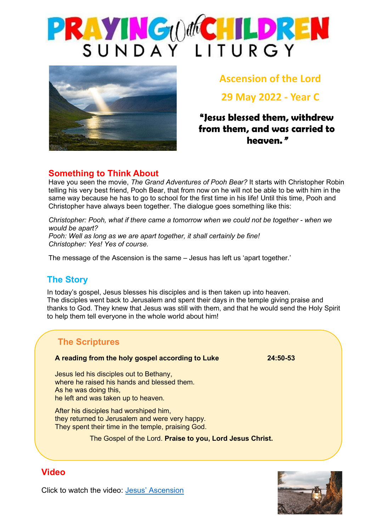



**Ascension of the Lord**

**29 May 2022 - Year C**

# **"Jesus blessed them, withdrew from them, and was carried to heaven."**

### **Something to Think About**

Have you seen the movie, *The Grand Adventures of Pooh Bear?* It starts with Christopher Robin telling his very best friend, Pooh Bear, that from now on he will not be able to be with him in the same way because he has to go to school for the first time in his life! Until this time, Pooh and Christopher have always been together. The dialogue goes something like this:

*Christopher: Pooh, what if there came a tomorrow when we could not be together - when we would be apart? Pooh: Well as long as we are apart together, it shall certainly be fine! Christopher: Yes! Yes of course.*

The message of the Ascension is the same – Jesus has left us 'apart together.'

# **The Story**

In today's gospel, Jesus blesses his disciples and is then taken up into heaven. The disciples went back to Jerusalem and spent their days in the temple giving praise and thanks to God. They knew that Jesus was still with them, and that he would send the Holy Spirit to help them tell everyone in the whole world about him!

# **The Scriptures**

### **A reading from the holy gospel according to Luke 24:50-53**

Jesus led his disciples out to Bethany, where he raised his hands and blessed them. As he was doing this, he left and was taken up to heaven.

After his disciples had worshiped him, they returned to Jerusalem and were very happy. They spent their time in the temple, praising God.

The Gospel of the Lord. **Praise to you, Lord Jesus Christ.**



### **Video**

Click to watch the video: [Jesus' Ascension](https://www.youtube.com/watch?v=UcFw8pLBSIo)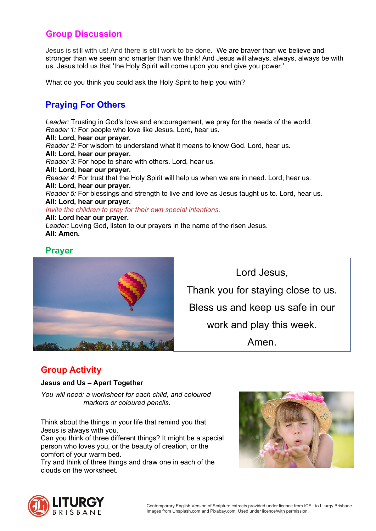### **Group Discussion**

Jesus is still with us! And there is still work to be done. We are braver than we believe and stronger than we seem and smarter than we think! And Jesus will always, always, always be with us. Jesus told us that 'the Holy Spirit will come upon you and give you power.'

What do you think you could ask the Holy Spirit to help you with?

# **Praying For Others**

*Leader:* Trusting in God's love and encouragement, we pray for the needs of the world. *Reader 1:* For people who love like Jesus. Lord, hear us. **All: Lord, hear our prayer.** *Reader 2:* For wisdom to understand what it means to know God. Lord, hear us. **All: Lord, hear our prayer.** *Reader 3:* For hope to share with others. Lord, hear us. **All: Lord, hear our prayer.** *Reader 4:* For trust that the Holy Spirit will help us when we are in need. Lord, hear us. **All: Lord, hear our prayer.** *Reader 5:* For blessings and strength to live and love as Jesus taught us to. Lord, hear us. **All: Lord, hear our prayer.** *Invite the children to pray for their own special intentions.* **All: Lord hear our prayer.** *Leader:* Loving God, listen to our prayers in the name of the risen Jesus. **All: Amen.**

### **Prayer**



Lord Jesus, Thank you for staying close to us. Bless us and keep us safe in our work and play this week. Amen.

### **Group Activity**

### **Jesus and Us – Apart Together**

*You will need: a worksheet for each child, and coloured markers or coloured pencils.*

Think about the things in your life that remind you that Jesus is always with you.

Can you think of three different things? It might be a special person who loves you, or the beauty of creation, or the comfort of your warm bed.

Try and think of three things and draw one in each of the clouds on the worksheet.



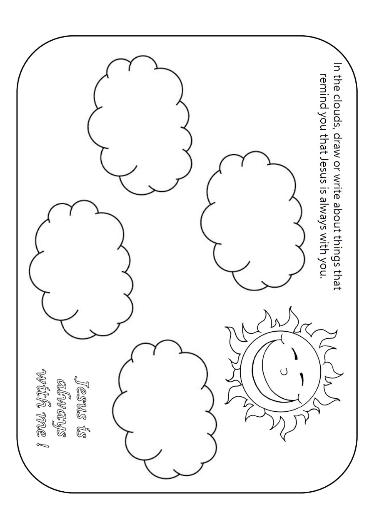